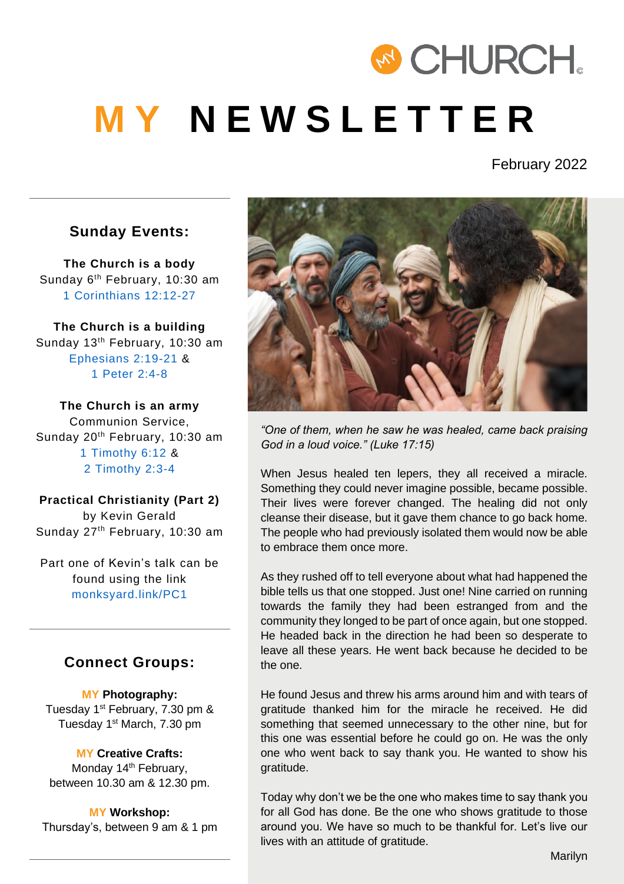# & CHURCH. **M Y N E W S L E T T E R**

February 2022

#### **Sunday Events:**

**The Church is a body**  Sunday 6<sup>th</sup> February, 10:30 am [1 Corinthians 12:12-27](https://www.biblegateway.com/passage/?search=1%20Corinthians%2012%3A12-27&version=NRSV)

**The Church is a building**  Sunday 13<sup>th</sup> February, 10:30 am [Ephesians 2:19-21](https://www.biblegateway.com/passage/?search=Ephesians+2%3A19-21&version=NRSV) & [1 Peter 2:4-8](https://www.biblegateway.com/passage/?search=1%20Peter%202%3A4-8&version=NRSV)

**The Church is an army** Communion Service, Sunday 20<sup>th</sup> February, 10:30 am [1 Timothy 6:12](https://www.biblegateway.com/passage/?search=1+Timothy+6%3A12&version=NRSV) & [2 Timothy 2:3-4](https://www.biblegateway.com/passage/?search=2+Timothy+2%3A3-4&version=NRSV)

**Practical Christianity (Part 2)** by Kevin Gerald Sunday 27<sup>th</sup> February, 10:30 am

Part one of Kevin's talk can be found using the link [monksyard.link/PC1](https://www.youtube.com/watch?v=ICt4fmywI1U)

#### **Connect Groups:**

**MY Photography:** Tuesday 1<sup>st</sup> February, 7.30 pm & Tuesday 1<sup>st</sup> March, 7.30 pm

#### **MY Creative Crafts:**

Monday 14<sup>th</sup> February, between 10.30 am & 12.30 pm.

**MY Workshop:** Thursday's, between 9 am & 1 pm



*"One of them, when he saw he was healed, came back praising God in a loud voice." (Luke 17:15)* 

When Jesus healed ten lepers, they all received a miracle. Something they could never imagine possible, became possible. Their lives were forever changed. The healing did not only cleanse their disease, but it gave them chance to go back home. The people who had previously isolated them would now be able to embrace them once more.

As they rushed off to tell everyone about what had happened the bible tells us that one stopped. Just one! Nine carried on running towards the family they had been estranged from and the community they longed to be part of once again, but one stopped. He headed back in the direction he had been so desperate to leave all these years. He went back because he decided to be the one.

He found Jesus and threw his arms around him and with tears of gratitude thanked him for the miracle he received. He did something that seemed unnecessary to the other nine, but for this one was essential before he could go on. He was the only one who went back to say thank you. He wanted to show his gratitude.

Today why don't we be the one who makes time to say thank you for all God has done. Be the one who shows gratitude to those around you. We have so much to be thankful for. Let's live our lives with an attitude of gratitude.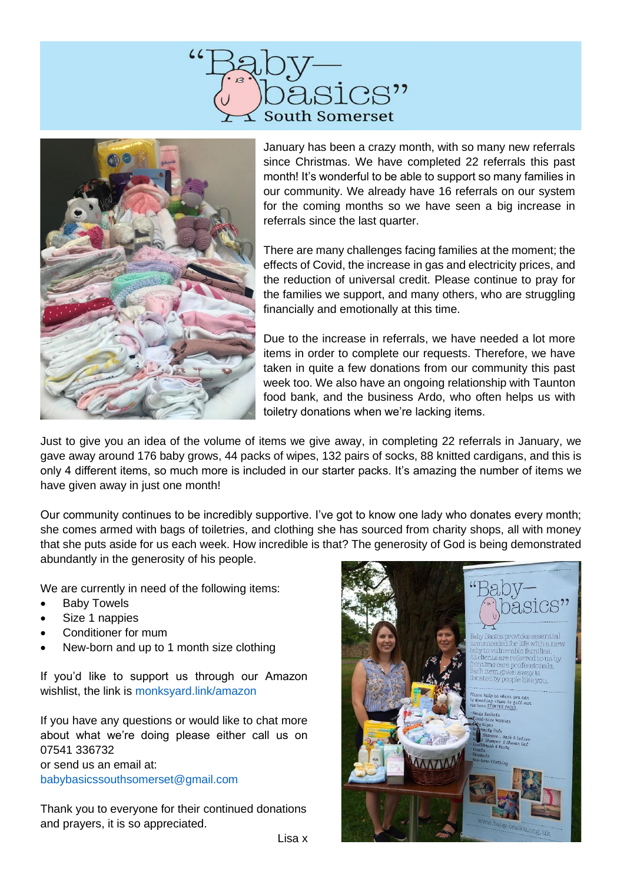



January has been a crazy month, with so many new referrals since Christmas. We have completed 22 referrals this past month! It's wonderful to be able to support so many families in our community. We already have 16 referrals on our system for the coming months so we have seen a big increase in referrals since the last quarter.

There are many challenges facing families at the moment; the effects of Covid, the increase in gas and electricity prices, and the reduction of universal credit. Please continue to pray for the families we support, and many others, who are struggling financially and emotionally at this time.

Due to the increase in referrals, we have needed a lot more items in order to complete our requests. Therefore, we have taken in quite a few donations from our community this past week too. We also have an ongoing relationship with Taunton food bank, and the business Ardo, who often helps us with toiletry donations when we're lacking items.

Just to give you an idea of the volume of items we give away, in completing 22 referrals in January, we gave away around 176 baby grows, 44 packs of wipes, 132 pairs of socks, 88 knitted cardigans, and this is only 4 different items, so much more is included in our starter packs. It's amazing the number of items we have given away in just one month!

Our community continues to be incredibly supportive. I've got to know one lady who donates every month; she comes armed with bags of toiletries, and clothing she has sourced from charity shops, all with money that she puts aside for us each week. How incredible is that? The generosity of God is being demonstrated abundantly in the generosity of his people.

We are currently in need of the following items:

- **Baby Towels**
- Size 1 nappies
- Conditioner for mum
- New-born and up to 1 month size clothing

If you'd like to support us through our Amazon wishlist, the link is [monksyard.link/amazon](https://www.amazon.co.uk/hz/wishlist/ls/18HZXAH1RBRDX?ref_=wl_share)

If you have any questions or would like to chat more about what we're doing please either call us on 07541 336732 or send us an email at: [babybasicssouthsomerset@gmail.com](mailto:babybasicssouthsomerset@gmail.com)

Thank you to everyone for their continued donations and prayers, it is so appreciated.

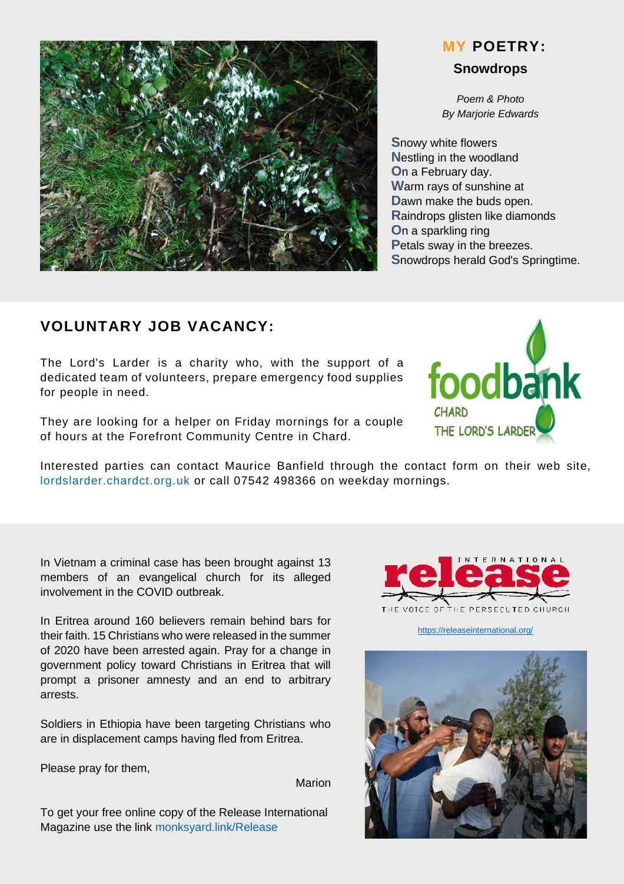

# **Snowdrops MY POETRY:**

*Poem & Photo By Marjorie Edwards*

**S**nowy white flowers **N**estling in the woodland **O**n a February day. **W**arm rays of sunshine at **D**awn make the buds open. **R**aindrops glisten like diamonds **O**n a sparkling ring **P**etals sway in the breezes. **S**nowdrops herald God's Springtime.

### **VOLUNTARY JOB VACANCY:**

The Lord's Larder is a charity who, with the support of a dedicated team of volunteers, prepare emergency food supplies for people in need.

They are looking for a helper on Friday mornings for a couple of hours at the Forefront Community Centre in Chard.

Interested parties can contact Maurice Banfield through the contact form on their web site, [lordslarder.chardct.org.uk](http://lordslarder.chardct.org.uk/) or call 07542 498366 on weekday mornings.

In Vietnam a criminal case has been brought against 13 members of an evangelical church for its alleged involvement in the COVID outbreak.

In Eritrea around 160 believers remain behind bars for their faith. 15 Christians who were released in the summer of 2020 have been arrested again. Pray for a change in government policy toward Christians in Eritrea that will prompt a prisoner amnesty and an end to arbitrary arrests.

Soldiers in Ethiopia have been targeting Christians who are in displacement camps having fled from Eritrea.

Please pray for them,

Marion

To get your free online copy of the Release International Magazine use the link [monksyard.link/Release](https://monksyard.link/Release)



<https://releaseinternational.org/>



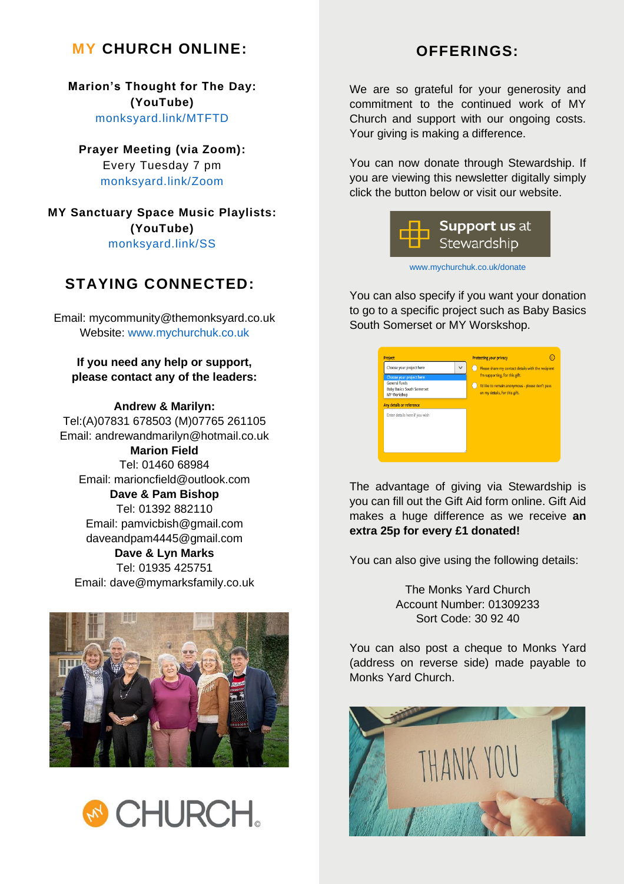#### **MY** CHURCH ONLINE: **OFFERINGS:**

**Marion's Thought for The Day: (YouTube)** [monksyard.link/MTFTD](https://monksyard.link/MTFTD)

**Prayer Meeting (via Zoom):**

Every Tuesday 7 pm [monksyard.link/Zoom](https://monksyard.link/Zoom)

**MY Sanctuary Space Music Playlists: (YouTube)** [monksyard.link/SS](https://monksyard.link/SS)

#### **STAYING CONNECTED:**

Email: mycommunity@themonksyard.co.uk Website: [www.mychurchuk.co.uk](http://www.mychurchuk.co.uk/)

**If you need any help or support, please contact any of the leaders:**

**Andrew & Marilyn:** Tel:(A)07831 678503 (M)07765 261105 Email: andrewandmarilyn@hotmail.co.uk **Marion Field** Tel: 01460 68984 Email: marioncfield@outlook.com **Dave & Pam Bishop** Tel: 01392 882110 Email: pamvicbish@gmail.com daveandpam4445@gmail.com **Dave & Lyn Marks**

Tel: 01935 425751 Email: dave@mymarksfamily.co.uk





We are so grateful for your generosity and commitment to the continued work of MY Church and support with our ongoing costs. Your giving is making a difference.

You can now donate through Stewardship. If you are viewing this newsletter digitally simply click the button below or visit our website.



[www.mychurchuk.co.uk/donate](http://www.mychurchuk.co.uk/donate)

You can also specify if you want your donation to go to a specific project such as Baby Basics South Somerset or MY Worskshop.

| Choose your project here                                                        | $\checkmark$ | Please share my contact details with the recipient                                |
|---------------------------------------------------------------------------------|--------------|-----------------------------------------------------------------------------------|
| Choose your project here                                                        |              | I'm supporting, for this gift.                                                    |
| <b>General funds</b><br><b>Baby Basics South Somerset</b><br><b>MY Workshop</b> |              | I'd like to remain anonymous - please don't pass<br>on my details, for this gift. |
| Any details or reference<br>Enter details here if you wish                      |              |                                                                                   |
|                                                                                 |              |                                                                                   |
|                                                                                 |              |                                                                                   |
|                                                                                 |              |                                                                                   |

The advantage of giving via Stewardship is you can fill out the Gift Aid form online. Gift Aid makes a huge difference as we receive **an extra 25p for every £1 donated!**

You can also give using the following details:

The Monks Yard Church Account Number: 01309233 Sort Code: 30 92 40

You can also post a cheque to Monks Yard (address on reverse side) made payable to Monks Yard Church.